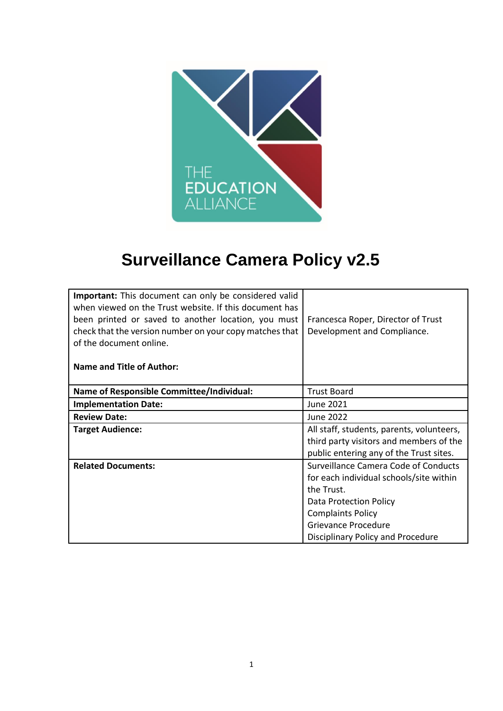

# **Surveillance Camera Policy v2.5**

| <b>Important:</b> This document can only be considered valid<br>when viewed on the Trust website. If this document has |                                           |  |
|------------------------------------------------------------------------------------------------------------------------|-------------------------------------------|--|
| been printed or saved to another location, you must                                                                    | Francesca Roper, Director of Trust        |  |
| check that the version number on your copy matches that                                                                | Development and Compliance.               |  |
| of the document online.                                                                                                |                                           |  |
|                                                                                                                        |                                           |  |
| <b>Name and Title of Author:</b>                                                                                       |                                           |  |
|                                                                                                                        |                                           |  |
| <b>Name of Responsible Committee/Individual:</b>                                                                       | <b>Trust Board</b>                        |  |
| <b>Implementation Date:</b>                                                                                            | <b>June 2021</b>                          |  |
| <b>Review Date:</b>                                                                                                    | June 2022                                 |  |
| <b>Target Audience:</b>                                                                                                | All staff, students, parents, volunteers, |  |
|                                                                                                                        | third party visitors and members of the   |  |
|                                                                                                                        | public entering any of the Trust sites.   |  |
| <b>Related Documents:</b>                                                                                              | Surveillance Camera Code of Conducts      |  |
|                                                                                                                        | for each individual schools/site within   |  |
|                                                                                                                        | the Trust.                                |  |
|                                                                                                                        | Data Protection Policy                    |  |
|                                                                                                                        | <b>Complaints Policy</b>                  |  |
|                                                                                                                        | <b>Grievance Procedure</b>                |  |
|                                                                                                                        | Disciplinary Policy and Procedure         |  |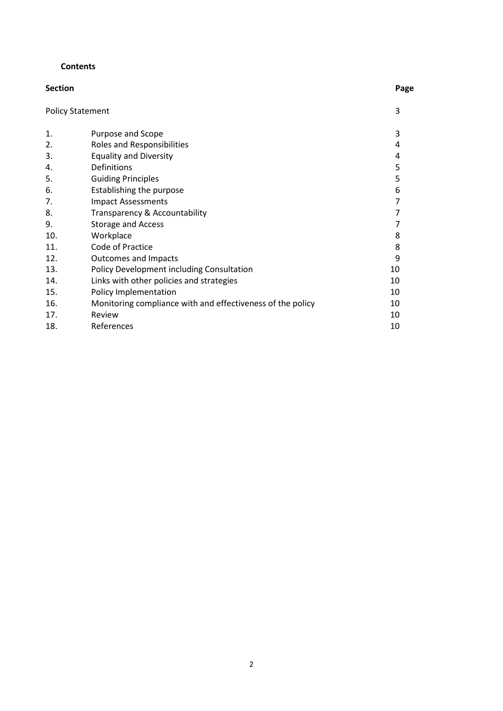#### **Contents**

| <b>Section</b>          |                                                            | Page |
|-------------------------|------------------------------------------------------------|------|
| <b>Policy Statement</b> |                                                            | 3    |
| 1.                      | Purpose and Scope                                          | 3    |
| 2.                      | Roles and Responsibilities                                 | 4    |
| 3.                      | <b>Equality and Diversity</b>                              | 4    |
| 4.                      | Definitions                                                | 5    |
| 5.                      | <b>Guiding Principles</b>                                  | 5    |
| 6.                      | Establishing the purpose                                   | 6    |
| 7.                      | <b>Impact Assessments</b>                                  | 7    |
| 8.                      | Transparency & Accountability                              | 7    |
| 9.                      | <b>Storage and Access</b>                                  | 7    |
| 10.                     | Workplace                                                  | 8    |
| 11.                     | Code of Practice                                           | 8    |
| 12.                     | <b>Outcomes and Impacts</b>                                | 9    |
| 13.                     | Policy Development including Consultation                  | 10   |
| 14.                     | Links with other policies and strategies                   | 10   |
| 15.                     | Policy Implementation                                      | 10   |
| 16.                     | Monitoring compliance with and effectiveness of the policy | 10   |
| 17.                     | Review                                                     | 10   |
| 18.                     | References                                                 | 10   |
|                         |                                                            |      |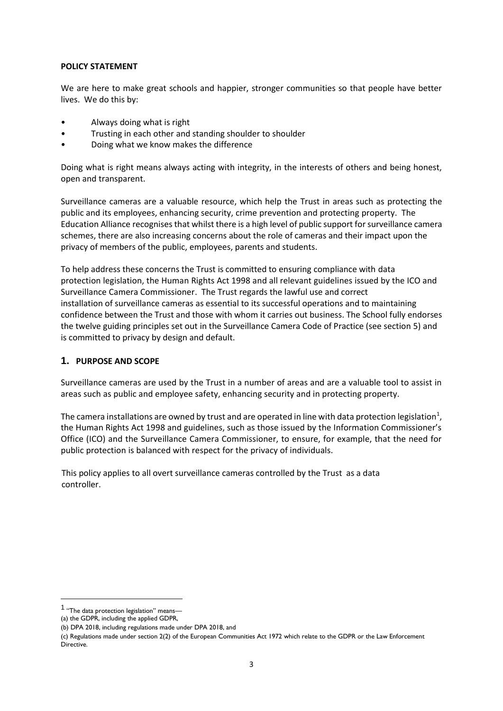#### **POLICY STATEMENT**

We are here to make great schools and happier, stronger communities so that people have better lives. We do this by:

- Always doing what is right
- Trusting in each other and standing shoulder to shoulder
- Doing what we know makes the difference

Doing what is right means always acting with integrity, in the interests of others and being honest, open and transparent.

Surveillance cameras are a valuable resource, which help the Trust in areas such as protecting the public and its employees, enhancing security, crime prevention and protecting property. The Education Alliance recognisesthat whilst there is a high level of public support for surveillance camera schemes, there are also increasing concerns about the role of cameras and their impact upon the privacy of members of the public, employees, parents and students.

To help address these concerns the Trust is committed to ensuring compliance with data protection legislation, the Human Rights Act 1998 and all relevant guidelines issued by the ICO and Surveillance Camera Commissioner. The Trust regards the lawful use and correct installation of surveillance cameras as essential to its successful operations and to maintaining confidence between the Trust and those with whom it carries out business. The School fully endorses the twelve guiding principles set out in the Surveillance Camera Code of Practice (see section 5) and is committed to privacy by design and default.

#### **1. PURPOSE AND SCOPE**

Surveillance cameras are used by the Trust in a number of areas and are a valuable tool to assist in areas such as public and employee safety, enhancing security and in protecting property.

The camera installations are owned by trust and are operated in line with data protection legislation<sup>1</sup>, the Human Rights Act 1998 and guidelines, such as those issued by the Information Commissioner's Office (ICO) and the Surveillance Camera Commissioner, to ensure, for example, that the need for public protection is balanced with respect for the privacy of individuals.

 This policy applies to all overt surveillance cameras controlled by the Trust as a data controller.

1

<sup>1</sup> "The data protection legislation" means—

<sup>(</sup>a) the GDPR, including the applied GDPR,

<sup>(</sup>b) DPA 2018, including regulations made under DPA 2018, and

<sup>(</sup>c) Regulations made under section 2(2) of the European Communities Act 1972 which relate to the GDPR or the Law Enforcement Directive.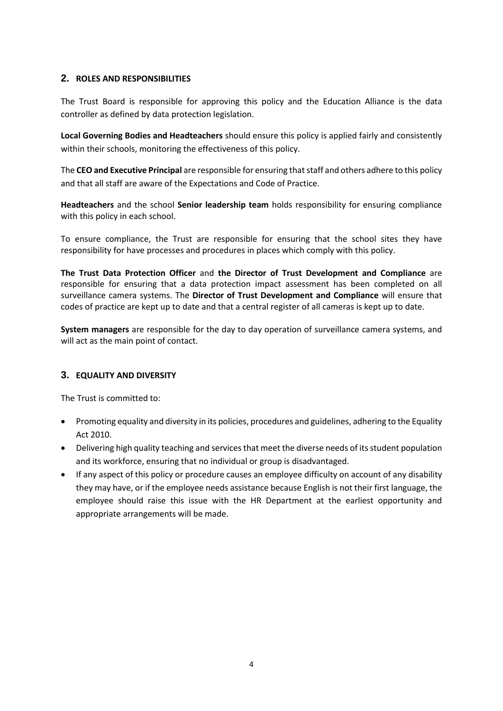## **2. ROLES AND RESPONSIBILITIES**

The Trust Board is responsible for approving this policy and the Education Alliance is the data controller as defined by data protection legislation.

**Local Governing Bodies and Headteachers** should ensure this policy is applied fairly and consistently within their schools, monitoring the effectiveness of this policy.

The **CEO and Executive Principal** are responsible for ensuring that staff and others adhere to this policy and that all staff are aware of the Expectations and Code of Practice.

**Headteachers** and the school **Senior leadership team** holds responsibility for ensuring compliance with this policy in each school.

To ensure compliance, the Trust are responsible for ensuring that the school sites they have responsibility for have processes and procedures in places which comply with this policy.

**The Trust Data Protection Officer** and **the Director of Trust Development and Compliance** are responsible for ensuring that a data protection impact assessment has been completed on all surveillance camera systems. The **Director of Trust Development and Compliance** will ensure that codes of practice are kept up to date and that a central register of all cameras is kept up to date.

**System managers** are responsible for the day to day operation of surveillance camera systems, and will act as the main point of contact.

## **3. EQUALITY AND DIVERSITY**

The Trust is committed to:

- Promoting equality and diversity in its policies, procedures and guidelines, adhering to the Equality Act 2010.
- Delivering high quality teaching and services that meet the diverse needs of its student population and its workforce, ensuring that no individual or group is disadvantaged.
- If any aspect of this policy or procedure causes an employee difficulty on account of any disability they may have, or if the employee needs assistance because English is not their first language, the employee should raise this issue with the HR Department at the earliest opportunity and appropriate arrangements will be made.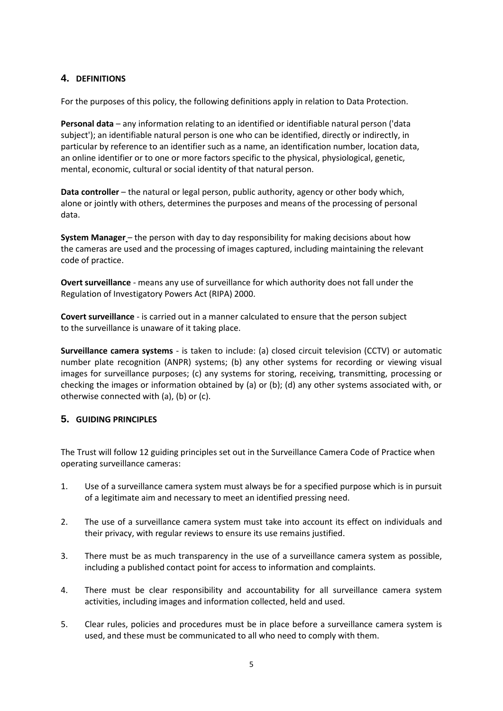## **4. DEFINITIONS**

For the purposes of this policy, the following definitions apply in relation to Data Protection.

**Personal data** – any information relating to an identified or identifiable natural person ('data subject'); an identifiable natural person is one who can be identified, directly or indirectly, in particular by reference to an identifier such as a name, an identification number, location data, an online identifier or to one or more factors specific to the physical, physiological, genetic, mental, economic, cultural or social identity of that natural person.

**Data controller** – the natural or legal person, public authority, agency or other body which, alone or jointly with others, determines the purposes and means of the processing of personal data.

**System Manager** – the person with day to day responsibility for making decisions about how the cameras are used and the processing of images captured, including maintaining the relevant code of practice.

**Overt surveillance** - means any use of surveillance for which authority does not fall under the Regulation of Investigatory Powers Act (RIPA) 2000.

**Covert surveillance** - is carried out in a manner calculated to ensure that the person subject to the surveillance is unaware of it taking place.

**Surveillance camera systems** - is taken to include: (a) closed circuit television (CCTV) or automatic number plate recognition (ANPR) systems; (b) any other systems for recording or viewing visual images for surveillance purposes; (c) any systems for storing, receiving, transmitting, processing or checking the images or information obtained by (a) or (b); (d) any other systems associated with, or otherwise connected with (a), (b) or (c).

#### **5. GUIDING PRINCIPLES**

The Trust will follow 12 guiding principles set out in the Surveillance Camera Code of Practice when operating surveillance cameras:

- 1. Use of a surveillance camera system must always be for a specified purpose which is in pursuit of a legitimate aim and necessary to meet an identified pressing need.
- 2. The use of a surveillance camera system must take into account its effect on individuals and their privacy, with regular reviews to ensure its use remains justified.
- 3. There must be as much transparency in the use of a surveillance camera system as possible, including a published contact point for access to information and complaints.
- 4. There must be clear responsibility and accountability for all surveillance camera system activities, including images and information collected, held and used.
- 5. Clear rules, policies and procedures must be in place before a surveillance camera system is used, and these must be communicated to all who need to comply with them.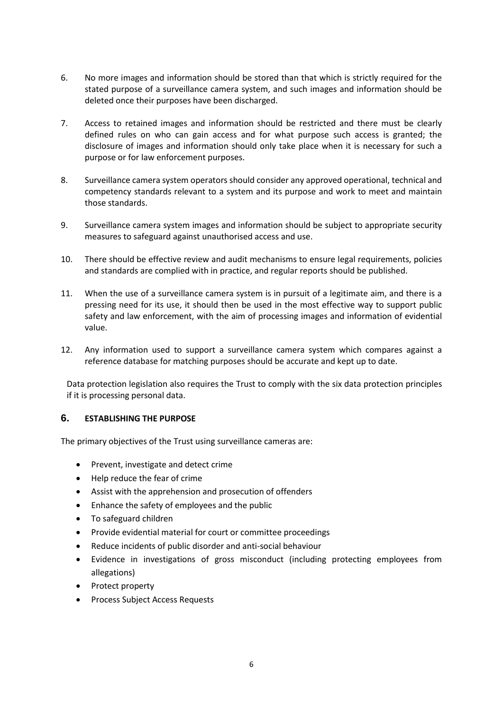- 6. No more images and information should be stored than that which is strictly required for the stated purpose of a surveillance camera system, and such images and information should be deleted once their purposes have been discharged.
- 7. Access to retained images and information should be restricted and there must be clearly defined rules on who can gain access and for what purpose such access is granted; the disclosure of images and information should only take place when it is necessary for such a purpose or for law enforcement purposes.
- 8. Surveillance camera system operators should consider any approved operational, technical and competency standards relevant to a system and its purpose and work to meet and maintain those standards.
- 9. Surveillance camera system images and information should be subject to appropriate security measures to safeguard against unauthorised access and use.
- 10. There should be effective review and audit mechanisms to ensure legal requirements, policies and standards are complied with in practice, and regular reports should be published.
- 11. When the use of a surveillance camera system is in pursuit of a legitimate aim, and there is a pressing need for its use, it should then be used in the most effective way to support public safety and law enforcement, with the aim of processing images and information of evidential value.
- 12. Any information used to support a surveillance camera system which compares against a reference database for matching purposes should be accurate and kept up to date.

Data protection legislation also requires the Trust to comply with the six data protection principles if it is processing personal data.

## **6. ESTABLISHING THE PURPOSE**

The primary objectives of the Trust using surveillance cameras are:

- Prevent, investigate and detect crime
- Help reduce the fear of crime
- Assist with the apprehension and prosecution of offenders
- Enhance the safety of employees and the public
- To safeguard children
- Provide evidential material for court or committee proceedings
- Reduce incidents of public disorder and anti-social behaviour
- Evidence in investigations of gross misconduct (including protecting employees from allegations)
- Protect property
- Process Subject Access Requests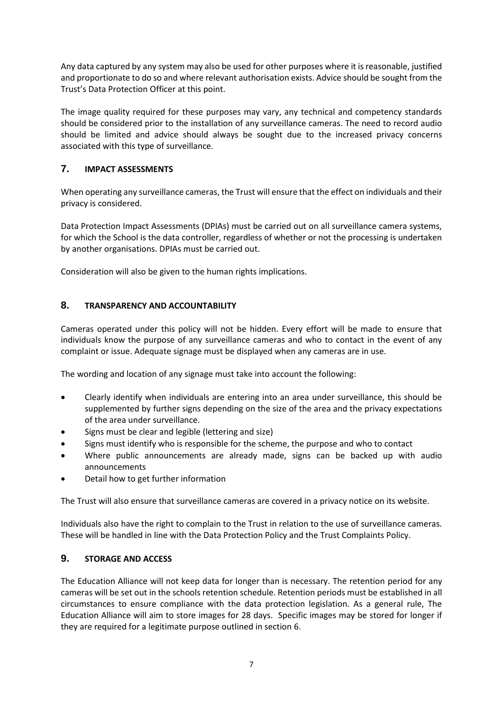Any data captured by any system may also be used for other purposes where it is reasonable, justified and proportionate to do so and where relevant authorisation exists. Advice should be sought from the Trust's Data Protection Officer at this point.

The image quality required for these purposes may vary, any technical and competency standards should be considered prior to the installation of any surveillance cameras. The need to record audio should be limited and advice should always be sought due to the increased privacy concerns associated with this type of surveillance.

# **7. IMPACT ASSESSMENTS**

When operating any surveillance cameras, the Trust will ensure that the effect on individuals and their privacy is considered.

Data Protection Impact Assessments (DPIAs) must be carried out on all surveillance camera systems, for which the School is the data controller, regardless of whether or not the processing is undertaken by another organisations. DPIAs must be carried out.

Consideration will also be given to the human rights implications.

# **8. TRANSPARENCY AND ACCOUNTABILITY**

Cameras operated under this policy will not be hidden. Every effort will be made to ensure that individuals know the purpose of any surveillance cameras and who to contact in the event of any complaint or issue. Adequate signage must be displayed when any cameras are in use.

The wording and location of any signage must take into account the following:

- Clearly identify when individuals are entering into an area under surveillance, this should be supplemented by further signs depending on the size of the area and the privacy expectations of the area under surveillance.
- Signs must be clear and legible (lettering and size)
- Signs must identify who is responsible for the scheme, the purpose and who to contact
- Where public announcements are already made, signs can be backed up with audio announcements
- Detail how to get further information

The Trust will also ensure that surveillance cameras are covered in a privacy notice on its website.

Individuals also have the right to complain to the Trust in relation to the use of surveillance cameras. These will be handled in line with the Data Protection Policy and the Trust Complaints Policy.

## **9. STORAGE AND ACCESS**

The Education Alliance will not keep data for longer than is necessary. The retention period for any cameras will be set out in the schools retention schedule. Retention periods must be established in all circumstances to ensure compliance with the data protection legislation. As a general rule, The Education Alliance will aim to store images for 28 days. Specific images may be stored for longer if they are required for a legitimate purpose outlined in section 6.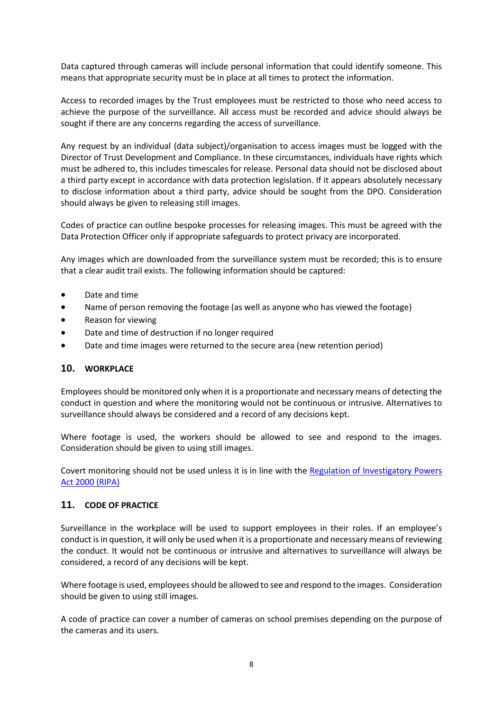Data captured through cameras will include personal information that could identify someone. This means that appropriate security must be in place at all times to protect the information.

Access to recorded images by the Trust employees must be restricted to those who need access to achieve the purpose of the surveillance. All access must be recorded and advice should always be sought if there are any concerns regarding the access of surveillance.

Any request by an individual (data subject)/organisation to access images must be logged with the Director of Trust Development and Compliance. In these circumstances, individuals have rights which must be adhered to, this includes timescales for release. Personal data should not be disclosed about a third party except in accordance with data protection legislation. If it appears absolutely necessary to disclose information about a third party, advice should be sought from the DPO. Consideration should always be given to releasing still images.

Codes of practice can outline bespoke processes for releasing images. This must be agreed with the Data Protection Officer only if appropriate safeguards to protect privacy are incorporated.

Any images which are downloaded from the surveillance system must be recorded; this is to ensure that a clear audit trail exists. The following information should be captured:

- Date and time
- Name of person removing the footage (as well as anyone who has viewed the footage)
- Reason for viewing
- Date and time of destruction if no longer required
- Date and time images were returned to the secure area (new retention period)

#### **10. WORKPLACE**

Employees should be monitored only when it is a proportionate and necessary means of detecting the conduct in question and where the monitoring would not be continuous or intrusive. Alternatives to surveillance should always be considered and a record of any decisions kept.

Where footage is used, the workers should be allowed to see and respond to the images. Consideration should be given to using still images.

Covert monitoring should not be used unless it is in line with the Regulation of Investigatory Powers Act 2000 (RIPA)

#### **11. CODE OF PRACTICE**

Surveillance in the workplace will be used to support employees in their roles. If an employee's conduct is in question, it will only be used when it is a proportionate and necessary means of reviewing the conduct. It would not be continuous or intrusive and alternatives to surveillance will always be considered, a record of any decisions will be kept.

Where footage is used, employees should be allowed to see and respond to the images. Consideration should be given to using still images.

A code of practice can cover a number of cameras on school premises depending on the purpose of the cameras and its users.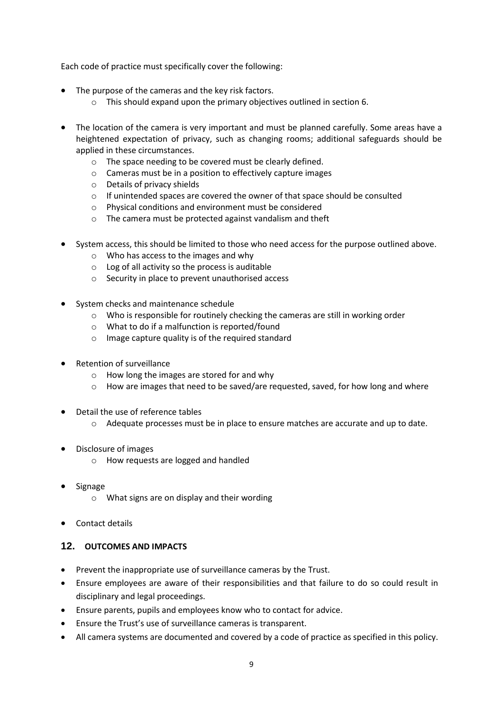Each code of practice must specifically cover the following:

- The purpose of the cameras and the key risk factors.
	- o This should expand upon the primary objectives outlined in section 6.
- The location of the camera is very important and must be planned carefully. Some areas have a heightened expectation of privacy, such as changing rooms; additional safeguards should be applied in these circumstances.
	- o The space needing to be covered must be clearly defined.
	- o Cameras must be in a position to effectively capture images
	- o Details of privacy shields
	- o If unintended spaces are covered the owner of that space should be consulted
	- o Physical conditions and environment must be considered
	- o The camera must be protected against vandalism and theft
- System access, this should be limited to those who need access for the purpose outlined above.
	- o Who has access to the images and why
	- $\circ$  Log of all activity so the process is auditable
	- o Security in place to prevent unauthorised access
- System checks and maintenance schedule
	- o Who is responsible for routinely checking the cameras are still in working order
	- o What to do if a malfunction is reported/found
	- o Image capture quality is of the required standard
- Retention of surveillance
	- o How long the images are stored for and why
	- $\circ$  How are images that need to be saved/are requested, saved, for how long and where
- Detail the use of reference tables
	- o Adequate processes must be in place to ensure matches are accurate and up to date.
- Disclosure of images
	- o How requests are logged and handled
- Signage
	- o What signs are on display and their wording
- Contact details

## **12. OUTCOMES AND IMPACTS**

- Prevent the inappropriate use of surveillance cameras by the Trust.
- Ensure employees are aware of their responsibilities and that failure to do so could result in disciplinary and legal proceedings.
- Ensure parents, pupils and employees know who to contact for advice.
- Ensure the Trust's use of surveillance cameras is transparent.
- All camera systems are documented and covered by a code of practice as specified in this policy.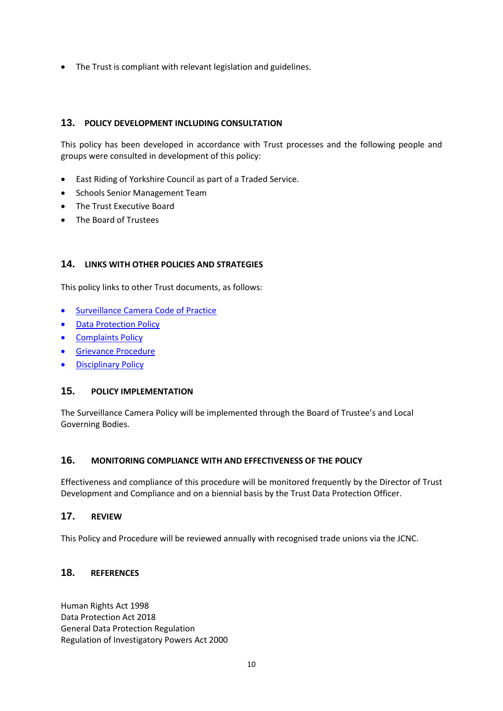The Trust is compliant with relevant legislation and guidelines.

## **13. POLICY DEVELOPMENT INCLUDING CONSULTATION**

This policy has been developed in accordance with Trust processes and the following people and groups were consulted in development of this policy:

- East Riding of Yorkshire Council as part of a Traded Service.
- Schools Senior Management Team
- The Trust Executive Board
- The Board of Trustees

## **14. LINKS WITH OTHER POLICIES AND STRATEGIES**

This policy links to other Trust documents, as follows:

- **•** Surveillance Camera Code of Practice
- Data Protection Policy
- Complaints Policy
- **•** Grievance Procedure
- Disciplinary Policy

## **15. POLICY IMPLEMENTATION**

The Surveillance Camera Policy will be implemented through the Board of Trustee's and Local Governing Bodies.

#### **16. MONITORING COMPLIANCE WITH AND EFFECTIVENESS OF THE POLICY**

Effectiveness and compliance of this procedure will be monitored frequently by the Director of Trust Development and Compliance and on a biennial basis by the Trust Data Protection Officer.

# **17. REVIEW**

This Policy and Procedure will be reviewed annually with recognised trade unions via the JCNC.

## **18. REFERENCES**

Human Rights Act 1998 Data Protection Act 2018 General Data Protection Regulation Regulation of Investigatory Powers Act 2000